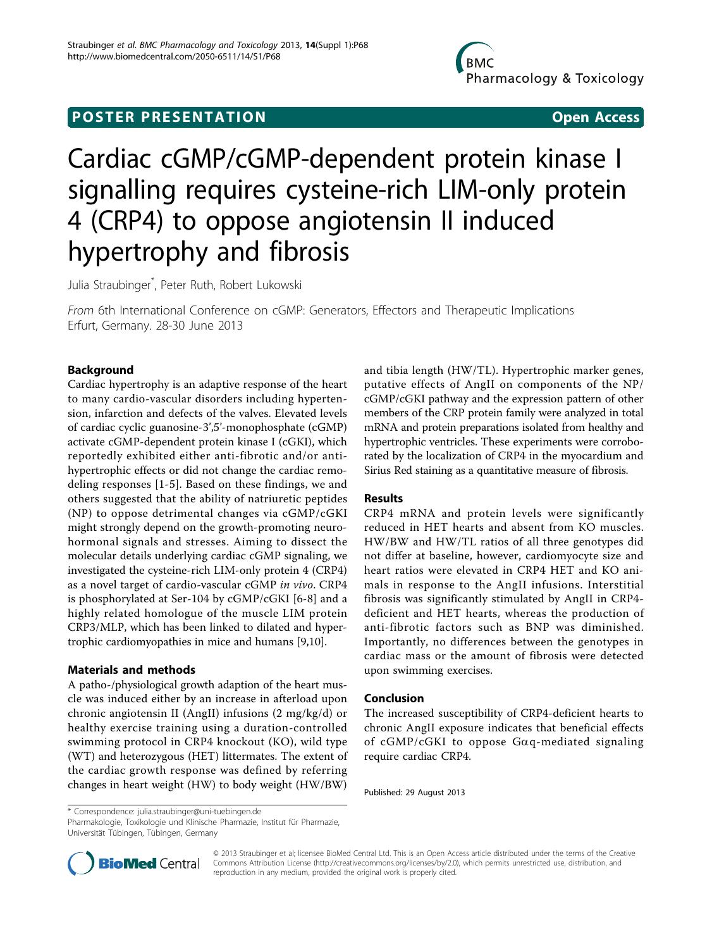## **POSTER PRESENTATION CONSUMING ACCESS**

# Cardiac cGMP/cGMP-dependent protein kinase I signalling requires cysteine-rich LIM-only protein 4 (CRP4) to oppose angiotensin II induced hypertrophy and fibrosis

Julia Straubinger\* , Peter Ruth, Robert Lukowski

From 6th International Conference on cGMP: Generators, Effectors and Therapeutic Implications Erfurt, Germany. 28-30 June 2013

## Background

Cardiac hypertrophy is an adaptive response of the heart to many cardio-vascular disorders including hypertension, infarction and defects of the valves. Elevated levels of cardiac cyclic guanosine-3',5'-monophosphate (cGMP) activate cGMP-dependent protein kinase I (cGKI), which reportedly exhibited either anti-fibrotic and/or antihypertrophic effects or did not change the cardiac remodeling responses [[1-5\]](#page-1-0). Based on these findings, we and others suggested that the ability of natriuretic peptides (NP) to oppose detrimental changes via cGMP/cGKI might strongly depend on the growth-promoting neurohormonal signals and stresses. Aiming to dissect the molecular details underlying cardiac cGMP signaling, we investigated the cysteine-rich LIM-only protein 4 (CRP4) as a novel target of cardio-vascular cGMP in vivo. CRP4 is phosphorylated at Ser-104 by cGMP/cGKI [\[6](#page-1-0)-[8\]](#page-1-0) and a highly related homologue of the muscle LIM protein CRP3/MLP, which has been linked to dilated and hypertrophic cardiomyopathies in mice and humans [[9](#page-1-0),[10](#page-1-0)].

### Materials and methods

A patho-/physiological growth adaption of the heart muscle was induced either by an increase in afterload upon chronic angiotensin II (AngII) infusions (2 mg/kg/d) or healthy exercise training using a duration-controlled swimming protocol in CRP4 knockout (KO), wild type (WT) and heterozygous (HET) littermates. The extent of the cardiac growth response was defined by referring changes in heart weight (HW) to body weight (HW/BW)

and tibia length (HW/TL). Hypertrophic marker genes, putative effects of AngII on components of the NP/ cGMP/cGKI pathway and the expression pattern of other members of the CRP protein family were analyzed in total mRNA and protein preparations isolated from healthy and hypertrophic ventricles. These experiments were corroborated by the localization of CRP4 in the myocardium and Sirius Red staining as a quantitative measure of fibrosis.

### Results

CRP4 mRNA and protein levels were significantly reduced in HET hearts and absent from KO muscles. HW/BW and HW/TL ratios of all three genotypes did not differ at baseline, however, cardiomyocyte size and heart ratios were elevated in CRP4 HET and KO animals in response to the AngII infusions. Interstitial fibrosis was significantly stimulated by AngII in CRP4 deficient and HET hearts, whereas the production of anti-fibrotic factors such as BNP was diminished. Importantly, no differences between the genotypes in cardiac mass or the amount of fibrosis were detected upon swimming exercises.

### Conclusion

The increased susceptibility of CRP4-deficient hearts to chronic AngII exposure indicates that beneficial effects of cGMP/cGKI to oppose G $\alpha$ q-mediated signaling require cardiac CRP4.

Published: 29 August 2013

\* Correspondence: [julia.straubinger@uni-tuebingen.de](mailto:julia.straubinger@uni-tuebingen.de)

Pharmakologie, Toxikologie und Klinische Pharmazie, Institut für Pharmazie, Universität Tübingen, Tübingen, Germany



© 2013 Straubinger et al; licensee BioMed Central Ltd. This is an Open Access article distributed under the terms of the Creative Commons Attribution License [\(http://creativecommons.org/licenses/by/2.0](http://creativecommons.org/licenses/by/2.0)), which permits unrestricted use, distribution, and reproduction in any medium, provided the original work is properly cited.